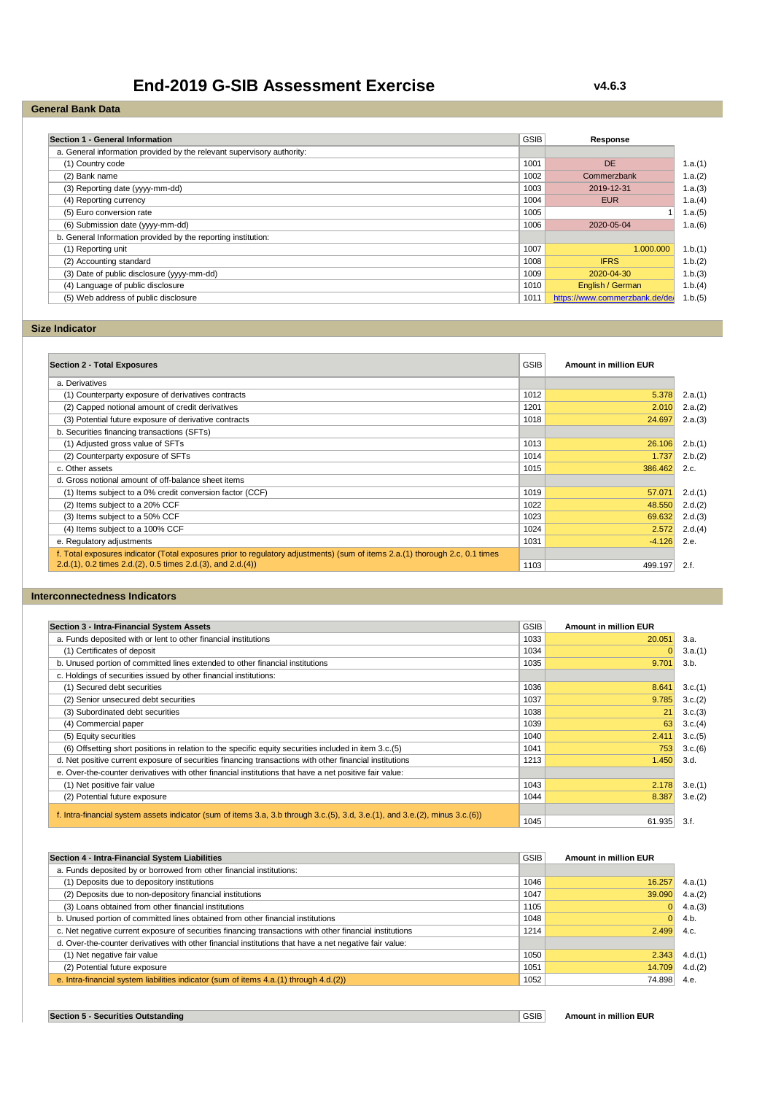# **End-2019 G-SIB Assessment Exercise**

**v4.6.3**

## **General Bank Data**

| Section 1 - General Information                                        | GSIB | Response                       |
|------------------------------------------------------------------------|------|--------------------------------|
| a. General information provided by the relevant supervisory authority: |      |                                |
| (1) Country code                                                       | 1001 | <b>DE</b>                      |
| (2) Bank name                                                          | 1002 | Commerzbank                    |
| (3) Reporting date (yyyy-mm-dd)                                        | 1003 | 2019-12-31                     |
| (4) Reporting currency                                                 | 1004 | <b>EUR</b>                     |
| (5) Euro conversion rate                                               | 1005 |                                |
| (6) Submission date (yyyy-mm-dd)                                       | 1006 | 2020-05-04                     |
| b. General Information provided by the reporting institution:          |      |                                |
| (1) Reporting unit                                                     | 1007 | 1.000.000                      |
| (2) Accounting standard                                                | 1008 | <b>IFRS</b>                    |
| (3) Date of public disclosure (yyyy-mm-dd)                             | 1009 | 2020-04-30                     |
| (4) Language of public disclosure                                      | 1010 | English / German               |
| (5) Web address of public disclosure                                   | 1011 | https://www.commerzbank.de/de/ |

#### **Size Indicator**

| <b>Section 2 - Total Exposures</b>                                                                                           | <b>GSIB</b> | <b>Amount in million EUR</b> |         |
|------------------------------------------------------------------------------------------------------------------------------|-------------|------------------------------|---------|
| a. Derivatives                                                                                                               |             |                              |         |
| (1) Counterparty exposure of derivatives contracts                                                                           | 1012        | 5.378                        | 2.a.(1) |
| (2) Capped notional amount of credit derivatives                                                                             | 1201        | 2.010                        | 2.a.(2) |
| (3) Potential future exposure of derivative contracts                                                                        | 1018        | 24.697                       | 2.a.(3) |
| b. Securities financing transactions (SFTs)                                                                                  |             |                              |         |
| (1) Adjusted gross value of SFTs                                                                                             | 1013        | 26.106                       | 2.b.(1) |
| (2) Counterparty exposure of SFTs                                                                                            | 1014        | 1.737                        | 2.b.(2) |
| c. Other assets                                                                                                              | 1015        | 386,462                      | 2.c.    |
| d. Gross notional amount of off-balance sheet items                                                                          |             |                              |         |
| (1) Items subject to a 0% credit conversion factor (CCF)                                                                     | 1019        | 57.071                       | 2.d.(1) |
| (2) Items subject to a 20% CCF                                                                                               | 1022        | 48.550                       | 2.d.(2) |
| (3) Items subject to a 50% CCF                                                                                               | 1023        | 69.632                       | 2.d.(3) |
| (4) Items subject to a 100% CCF                                                                                              | 1024        | 2.572                        | 2.d.(4) |
| e. Regulatory adjustments                                                                                                    | 1031        | $-4.126$                     | 2.e.    |
| f. Total exposures indicator (Total exposures prior to regulatory adjustments) (sum of items 2.a.(1) thorough 2.c, 0.1 times |             |                              |         |
| 2.d.(1), 0.2 times 2.d.(2), 0.5 times 2.d.(3), and 2.d.(4))                                                                  | 1103        | 499.197                      | 2.f.    |

### **Interconnectedness Indicators**

| Section 3 - Intra-Financial System Assets                                                                                    | <b>GSIB</b> | <b>Amount in million EUR</b> |         |
|------------------------------------------------------------------------------------------------------------------------------|-------------|------------------------------|---------|
| a. Funds deposited with or lent to other financial institutions                                                              | 1033        | 20.051                       | 3.a.    |
| (1) Certificates of deposit                                                                                                  | 1034        |                              | 3.a.(1) |
| b. Unused portion of committed lines extended to other financial institutions                                                | 1035        | 9.701                        | 3.b.    |
| c. Holdings of securities issued by other financial institutions:                                                            |             |                              |         |
| (1) Secured debt securities                                                                                                  | 1036        | 8.641                        | 3.c.(1) |
| (2) Senior unsecured debt securities                                                                                         | 1037        | 9.785                        | 3.c.(2) |
| (3) Subordinated debt securities                                                                                             | 1038        | 21                           | 3.c.(3) |
| (4) Commercial paper                                                                                                         | 1039        | 63                           | 3.c.(4) |
| (5) Equity securities                                                                                                        | 1040        | 2.411                        | 3.c.(5) |
| (6) Offsetting short positions in relation to the specific equity securities included in item 3.c. (5)                       | 1041        | 753                          | 3.c.(6) |
| d. Net positive current exposure of securities financing transactions with other financial institutions                      | 1213        | 1.450                        | 3.d.    |
| e. Over-the-counter derivatives with other financial institutions that have a net positive fair value:                       |             |                              |         |
| (1) Net positive fair value                                                                                                  | 1043        | 2.178                        | 3.e.(1) |
| (2) Potential future exposure                                                                                                | 1044        | 8.387                        | 3.e.(2) |
|                                                                                                                              |             |                              |         |
| f. Intra-financial system assets indicator (sum of items 3.a, 3.b through 3.c.(5), 3.d, 3.e.(1), and 3.e.(2), minus 3.c.(6)) | 1045        | 61.935                       | 3.f.    |

| Section 4 - Intra-Financial System Liabilities                                                          | <b>GSIB</b> | <b>Amount in million EUR</b> |         |
|---------------------------------------------------------------------------------------------------------|-------------|------------------------------|---------|
| a. Funds deposited by or borrowed from other financial institutions:                                    |             |                              |         |
| (1) Deposits due to depository institutions                                                             | 1046        | 16.257                       | 4.a.(1) |
| (2) Deposits due to non-depository financial institutions                                               | 1047        | 39.090                       | 4.a.(2) |
| (3) Loans obtained from other financial institutions                                                    | 1105        |                              | 4.a.(3) |
| b. Unused portion of committed lines obtained from other financial institutions                         | 1048        |                              | 4.b     |
| c. Net negative current exposure of securities financing transactions with other financial institutions | 1214        | 2.499                        | 4.c.    |
| d. Over-the-counter derivatives with other financial institutions that have a net negative fair value:  |             |                              |         |
| (1) Net negative fair value                                                                             | 1050        | 2.343                        | 4.d.(1) |
| (2) Potential future exposure                                                                           | 1051        | 14.709                       | 4.d.(2) |
| e. Intra-financial system liabilities indicator (sum of items 4.a.(1) through 4.d.(2))                  | 1052        | 74.898                       | 4.e.    |
|                                                                                                         |             |                              |         |